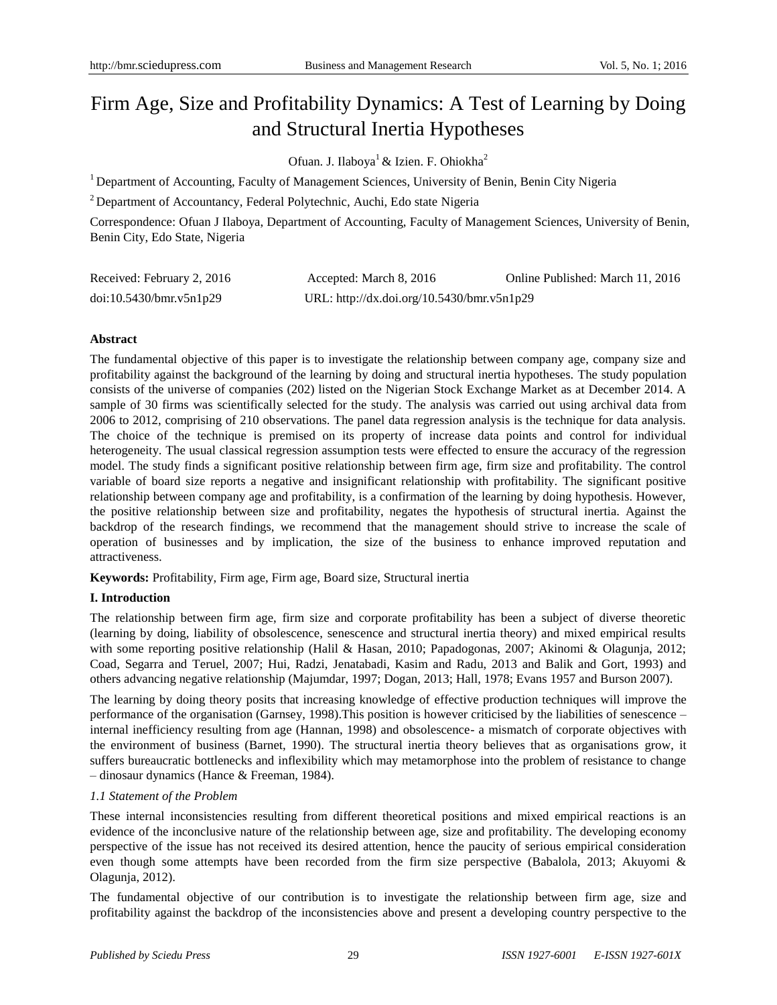# Firm Age, Size and Profitability Dynamics: A Test of Learning by Doing and Structural Inertia Hypotheses

Ofuan. J. Ilaboya<sup>1</sup> & Izien. F. Ohiokha<sup>2</sup>

<sup>1</sup> Department of Accounting, Faculty of Management Sciences, University of Benin, Benin City Nigeria

<sup>2</sup> Department of Accountancy, Federal Polytechnic, Auchi, Edo state Nigeria

Correspondence: Ofuan J Ilaboya, Department of Accounting, Faculty of Management Sciences, University of Benin, Benin City, Edo State, Nigeria

| Received: February 2, 2016 | Accepted: March 8, 2016                    | Online Published: March 11, 2016 |
|----------------------------|--------------------------------------------|----------------------------------|
| doi:10.5430/bmr.v5n1p29    | URL: http://dx.doi.org/10.5430/bmr.v5n1p29 |                                  |

# **Abstract**

The fundamental objective of this paper is to investigate the relationship between company age, company size and profitability against the background of the learning by doing and structural inertia hypotheses. The study population consists of the universe of companies (202) listed on the Nigerian Stock Exchange Market as at December 2014. A sample of 30 firms was scientifically selected for the study. The analysis was carried out using archival data from 2006 to 2012, comprising of 210 observations. The panel data regression analysis is the technique for data analysis. The choice of the technique is premised on its property of increase data points and control for individual heterogeneity. The usual classical regression assumption tests were effected to ensure the accuracy of the regression model. The study finds a significant positive relationship between firm age, firm size and profitability. The control variable of board size reports a negative and insignificant relationship with profitability. The significant positive relationship between company age and profitability, is a confirmation of the learning by doing hypothesis. However, the positive relationship between size and profitability, negates the hypothesis of structural inertia. Against the backdrop of the research findings, we recommend that the management should strive to increase the scale of operation of businesses and by implication, the size of the business to enhance improved reputation and attractiveness.

**Keywords:** Profitability, Firm age, Firm age, Board size, Structural inertia

# **I. Introduction**

The relationship between firm age, firm size and corporate profitability has been a subject of diverse theoretic (learning by doing, liability of obsolescence, senescence and structural inertia theory) and mixed empirical results with some reporting positive relationship (Halil & Hasan, 2010; Papadogonas, 2007; Akinomi & Olagunja, 2012; Coad, Segarra and Teruel, 2007; Hui, Radzi, Jenatabadi, Kasim and Radu, 2013 and Balik and Gort, 1993) and others advancing negative relationship (Majumdar, 1997; Dogan, 2013; Hall, 1978; Evans 1957 and Burson 2007).

The learning by doing theory posits that increasing knowledge of effective production techniques will improve the performance of the organisation (Garnsey, 1998).This position is however criticised by the liabilities of senescence – internal inefficiency resulting from age (Hannan, 1998) and obsolescence- a mismatch of corporate objectives with the environment of business (Barnet, 1990). The structural inertia theory believes that as organisations grow, it suffers bureaucratic bottlenecks and inflexibility which may metamorphose into the problem of resistance to change – dinosaur dynamics (Hance & Freeman, 1984).

## *1.1 Statement of the Problem*

These internal inconsistencies resulting from different theoretical positions and mixed empirical reactions is an evidence of the inconclusive nature of the relationship between age, size and profitability. The developing economy perspective of the issue has not received its desired attention, hence the paucity of serious empirical consideration even though some attempts have been recorded from the firm size perspective (Babalola, 2013; Akuyomi & Olagunja, 2012).

The fundamental objective of our contribution is to investigate the relationship between firm age, size and profitability against the backdrop of the inconsistencies above and present a developing country perspective to the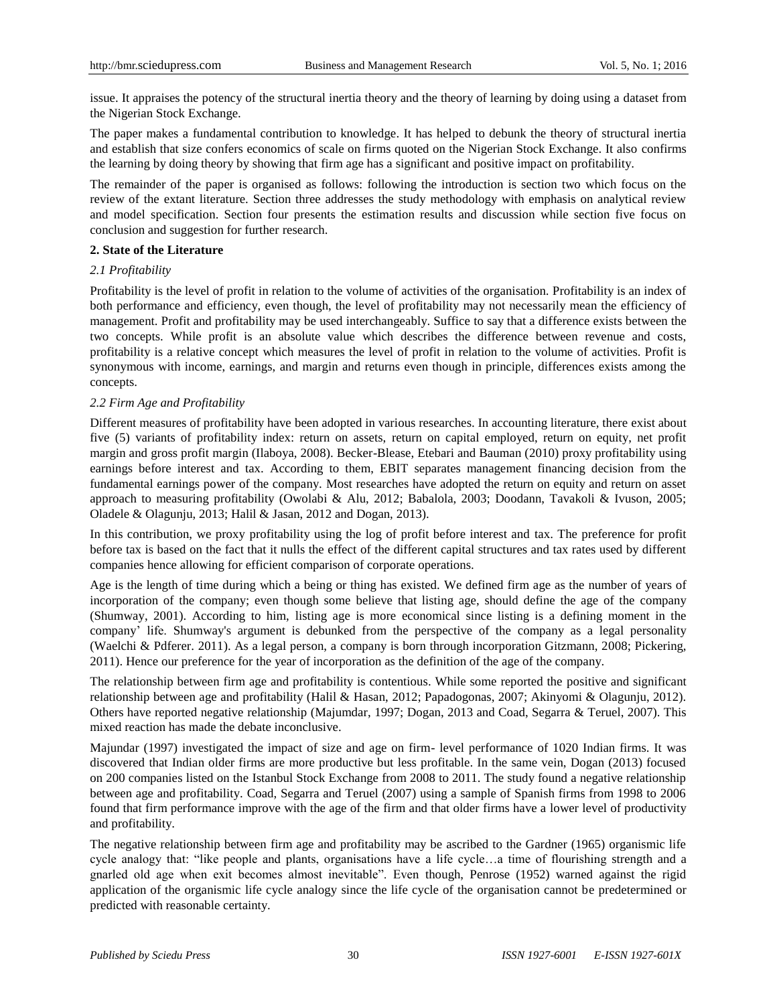issue. It appraises the potency of the structural inertia theory and the theory of learning by doing using a dataset from the Nigerian Stock Exchange.

The paper makes a fundamental contribution to knowledge. It has helped to debunk the theory of structural inertia and establish that size confers economics of scale on firms quoted on the Nigerian Stock Exchange. It also confirms the learning by doing theory by showing that firm age has a significant and positive impact on profitability.

The remainder of the paper is organised as follows: following the introduction is section two which focus on the review of the extant literature. Section three addresses the study methodology with emphasis on analytical review and model specification. Section four presents the estimation results and discussion while section five focus on conclusion and suggestion for further research.

## **2. State of the Literature**

# *2.1 Profitability*

Profitability is the level of profit in relation to the volume of activities of the organisation. Profitability is an index of both performance and efficiency, even though, the level of profitability may not necessarily mean the efficiency of management. Profit and profitability may be used interchangeably. Suffice to say that a difference exists between the two concepts. While profit is an absolute value which describes the difference between revenue and costs, profitability is a relative concept which measures the level of profit in relation to the volume of activities. Profit is synonymous with income, earnings, and margin and returns even though in principle, differences exists among the concepts.

# *2.2 Firm Age and Profitability*

Different measures of profitability have been adopted in various researches. In accounting literature, there exist about five (5) variants of profitability index: return on assets, return on capital employed, return on equity, net profit margin and gross profit margin (Ilaboya, 2008). Becker-Blease, Etebari and Bauman (2010) proxy profitability using earnings before interest and tax. According to them, EBIT separates management financing decision from the fundamental earnings power of the company. Most researches have adopted the return on equity and return on asset approach to measuring profitability (Owolabi & Alu, 2012; Babalola, 2003; Doodann, Tavakoli & Ivuson, 2005; Oladele & Olagunju, 2013; Halil & Jasan, 2012 and Dogan, 2013).

In this contribution, we proxy profitability using the log of profit before interest and tax. The preference for profit before tax is based on the fact that it nulls the effect of the different capital structures and tax rates used by different companies hence allowing for efficient comparison of corporate operations.

Age is the length of time during which a being or thing has existed. We defined firm age as the number of years of incorporation of the company; even though some believe that listing age, should define the age of the company (Shumway, 2001). According to him, listing age is more economical since listing is a defining moment in the company' life. Shumway's argument is debunked from the perspective of the company as a legal personality (Waelchi & Pdferer. 2011). As a legal person, a company is born through incorporation Gitzmann, 2008; Pickering, 2011). Hence our preference for the year of incorporation as the definition of the age of the company.

The relationship between firm age and profitability is contentious. While some reported the positive and significant relationship between age and profitability (Halil & Hasan, 2012; Papadogonas, 2007; Akinyomi & Olagunju, 2012). Others have reported negative relationship (Majumdar, 1997; Dogan, 2013 and Coad, Segarra & Teruel, 2007). This mixed reaction has made the debate inconclusive.

Majundar (1997) investigated the impact of size and age on firm- level performance of 1020 Indian firms. It was discovered that Indian older firms are more productive but less profitable. In the same vein, Dogan (2013) focused on 200 companies listed on the Istanbul Stock Exchange from 2008 to 2011. The study found a negative relationship between age and profitability. Coad, Segarra and Teruel (2007) using a sample of Spanish firms from 1998 to 2006 found that firm performance improve with the age of the firm and that older firms have a lower level of productivity and profitability.

The negative relationship between firm age and profitability may be ascribed to the Gardner (1965) organismic life cycle analogy that: "like people and plants, organisations have a life cycle…a time of flourishing strength and a gnarled old age when exit becomes almost inevitable". Even though, Penrose (1952) warned against the rigid application of the organismic life cycle analogy since the life cycle of the organisation cannot be predetermined or predicted with reasonable certainty.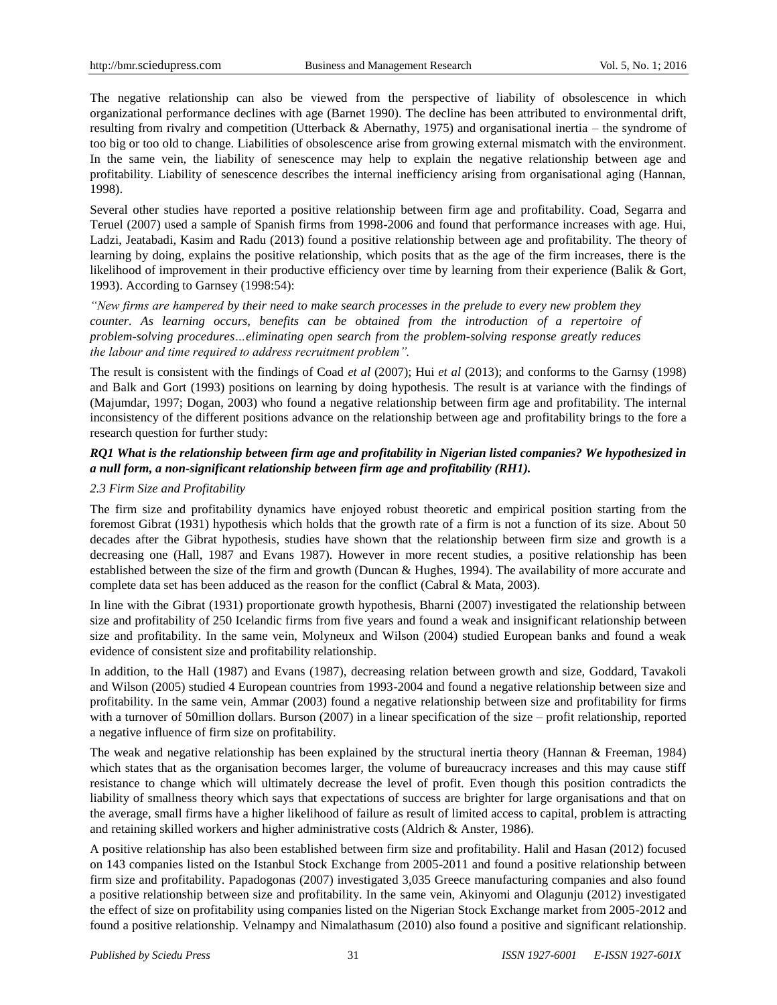The negative relationship can also be viewed from the perspective of liability of obsolescence in which organizational performance declines with age (Barnet 1990). The decline has been attributed to environmental drift, resulting from rivalry and competition (Utterback & Abernathy, 1975) and organisational inertia – the syndrome of too big or too old to change. Liabilities of obsolescence arise from growing external mismatch with the environment. In the same vein, the liability of senescence may help to explain the negative relationship between age and profitability. Liability of senescence describes the internal inefficiency arising from organisational aging (Hannan, 1998).

Several other studies have reported a positive relationship between firm age and profitability. Coad, Segarra and Teruel (2007) used a sample of Spanish firms from 1998-2006 and found that performance increases with age. Hui, Ladzi, Jeatabadi, Kasim and Radu (2013) found a positive relationship between age and profitability. The theory of learning by doing, explains the positive relationship, which posits that as the age of the firm increases, there is the likelihood of improvement in their productive efficiency over time by learning from their experience (Balik & Gort, 1993). According to Garnsey (1998:54):

*"New firms are hampered by their need to make search processes in the prelude to every new problem they counter. As learning occurs, benefits can be obtained from the introduction of a repertoire of problem-solving procedures…eliminating open search from the problem-solving response greatly reduces the labour and time required to address recruitment problem".*

The result is consistent with the findings of Coad *et al* (2007); Hui *et al* (2013); and conforms to the Garnsy (1998) and Balk and Gort (1993) positions on learning by doing hypothesis. The result is at variance with the findings of (Majumdar, 1997; Dogan, 2003) who found a negative relationship between firm age and profitability. The internal inconsistency of the different positions advance on the relationship between age and profitability brings to the fore a research question for further study:

# *RQ1 What is the relationship between firm age and profitability in Nigerian listed companies? We hypothesized in a null form, a non-significant relationship between firm age and profitability (RH1).*

# *2.3 Firm Size and Profitability*

The firm size and profitability dynamics have enjoyed robust theoretic and empirical position starting from the foremost Gibrat (1931) hypothesis which holds that the growth rate of a firm is not a function of its size. About 50 decades after the Gibrat hypothesis, studies have shown that the relationship between firm size and growth is a decreasing one (Hall, 1987 and Evans 1987). However in more recent studies, a positive relationship has been established between the size of the firm and growth (Duncan & Hughes, 1994). The availability of more accurate and complete data set has been adduced as the reason for the conflict (Cabral & Mata, 2003).

In line with the Gibrat (1931) proportionate growth hypothesis, Bharni (2007) investigated the relationship between size and profitability of 250 Icelandic firms from five years and found a weak and insignificant relationship between size and profitability. In the same vein, Molyneux and Wilson (2004) studied European banks and found a weak evidence of consistent size and profitability relationship.

In addition, to the Hall (1987) and Evans (1987), decreasing relation between growth and size, Goddard, Tavakoli and Wilson (2005) studied 4 European countries from 1993-2004 and found a negative relationship between size and profitability. In the same vein, Ammar (2003) found a negative relationship between size and profitability for firms with a turnover of 50million dollars. Burson (2007) in a linear specification of the size – profit relationship, reported a negative influence of firm size on profitability.

The weak and negative relationship has been explained by the structural inertia theory (Hannan & Freeman, 1984) which states that as the organisation becomes larger, the volume of bureaucracy increases and this may cause stiff resistance to change which will ultimately decrease the level of profit. Even though this position contradicts the liability of smallness theory which says that expectations of success are brighter for large organisations and that on the average, small firms have a higher likelihood of failure as result of limited access to capital, problem is attracting and retaining skilled workers and higher administrative costs (Aldrich & Anster, 1986).

A positive relationship has also been established between firm size and profitability. Halil and Hasan (2012) focused on 143 companies listed on the Istanbul Stock Exchange from 2005-2011 and found a positive relationship between firm size and profitability. Papadogonas (2007) investigated 3,035 Greece manufacturing companies and also found a positive relationship between size and profitability. In the same vein, Akinyomi and Olagunju (2012) investigated the effect of size on profitability using companies listed on the Nigerian Stock Exchange market from 2005-2012 and found a positive relationship. Velnampy and Nimalathasum (2010) also found a positive and significant relationship.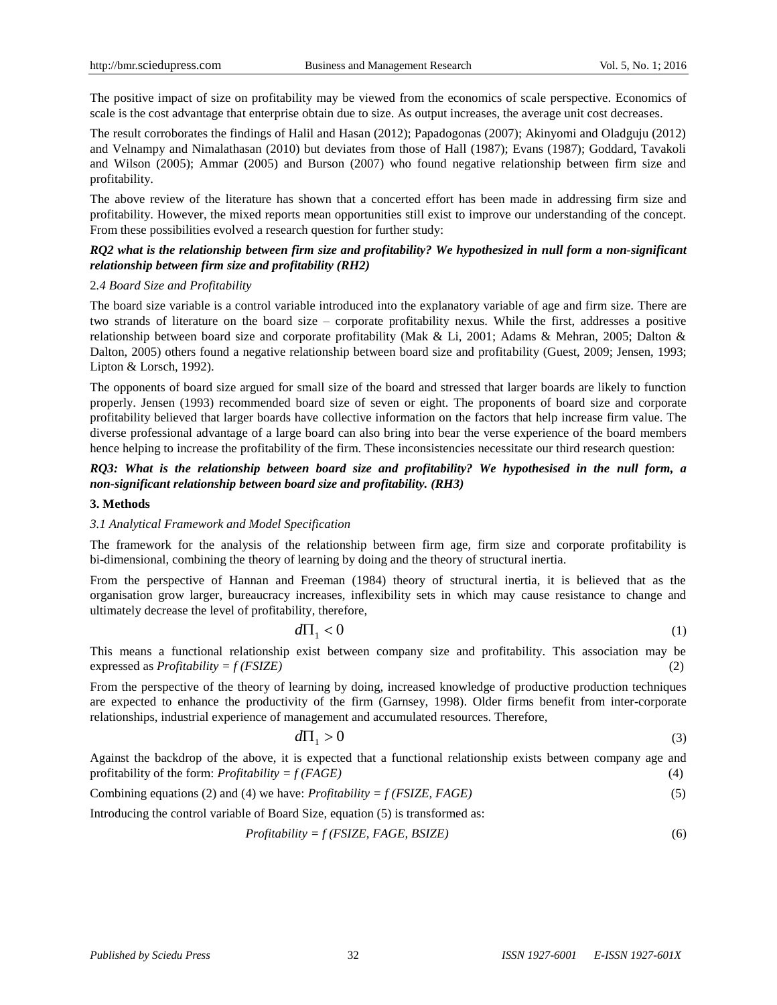The positive impact of size on profitability may be viewed from the economics of scale perspective. Economics of scale is the cost advantage that enterprise obtain due to size. As output increases, the average unit cost decreases.

The result corroborates the findings of Halil and Hasan (2012); Papadogonas (2007); Akinyomi and Oladguju (2012) and Velnampy and Nimalathasan (2010) but deviates from those of Hall (1987); Evans (1987); Goddard, Tavakoli and Wilson (2005); Ammar (2005) and Burson (2007) who found negative relationship between firm size and profitability.

The above review of the literature has shown that a concerted effort has been made in addressing firm size and profitability. However, the mixed reports mean opportunities still exist to improve our understanding of the concept. From these possibilities evolved a research question for further study:

## *RQ2 what is the relationship between firm size and profitability? We hypothesized in null form a non-significant relationship between firm size and profitability (RH2)*

## 2*.4 Board Size and Profitability*

The board size variable is a control variable introduced into the explanatory variable of age and firm size. There are two strands of literature on the board size – corporate profitability nexus. While the first, addresses a positive relationship between board size and corporate profitability (Mak & Li, 2001; Adams & Mehran, 2005; Dalton & Dalton, 2005) others found a negative relationship between board size and profitability (Guest, 2009; Jensen, 1993; Lipton & Lorsch, 1992).

The opponents of board size argued for small size of the board and stressed that larger boards are likely to function properly. Jensen (1993) recommended board size of seven or eight. The proponents of board size and corporate profitability believed that larger boards have collective information on the factors that help increase firm value. The diverse professional advantage of a large board can also bring into bear the verse experience of the board members hence helping to increase the profitability of the firm. These inconsistencies necessitate our third research question:

# *RQ3: What is the relationship between board size and profitability? We hypothesised in the null form, a non-significant relationship between board size and profitability. (RH3)*

#### **3. Methods**

## *3.1 Analytical Framework and Model Specification*

The framework for the analysis of the relationship between firm age, firm size and corporate profitability is bi-dimensional, combining the theory of learning by doing and the theory of structural inertia.

From the perspective of Hannan and Freeman (1984) theory of structural inertia, it is believed that as the organisation grow larger, bureaucracy increases, inflexibility sets in which may cause resistance to change and ultimately decrease the level of profitability, therefore,

$$
d\Pi_1 < 0 \tag{1}
$$

This means a functional relationship exist between company size and profitability. This association may be expressed as *Profitability = f (FSIZE)* (2)

From the perspective of the theory of learning by doing, increased knowledge of productive production techniques are expected to enhance the productivity of the firm (Garnsey, 1998). Older firms benefit from inter-corporate relationships, industrial experience of management and accumulated resources. Therefore,

$$
d\Pi_1 > 0 \tag{3}
$$

Against the backdrop of the above, it is expected that a functional relationship exists between company age and profitability of the form: *Profitability = f (FAGE)* (4)

Combining equations (2) and (4) we have: 
$$
Profitability = f(FSIZE, FAGE)
$$
 (5)

Introducing the control variable of Board Size, equation (5) is transformed as:

$$
Profitability = f(FSIZE, FAGE, BSIZE)
$$
\n(6)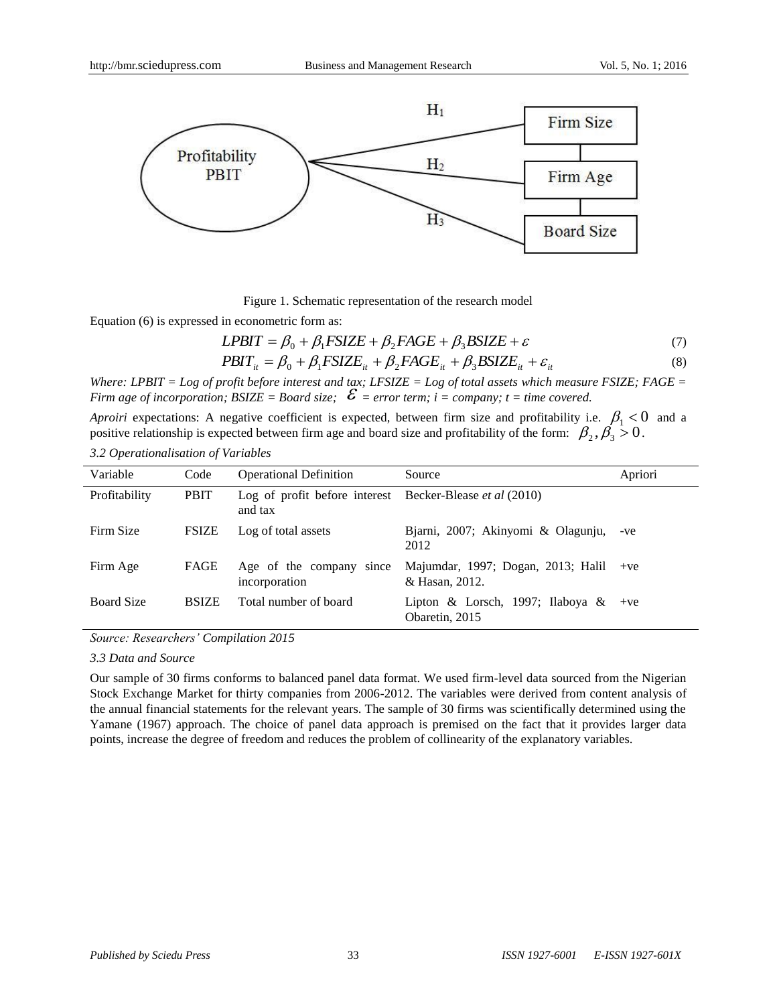

Figure 1. Schematic representation of the research model

Equation (6) is expressed in econometric form as:

$$
LPBIT = \beta_0 + \beta_1 FSIZE + \beta_2 FAGE + \beta_3 BSIZE + \varepsilon \tag{7}
$$

$$
PBIT_{it} = \beta_0 + \beta_1 FSIZE_{it} + \beta_2 FAGE_{it} + \beta_3 BSIZE_{it} + \varepsilon_{it}
$$
\n(8)

*Where: LPBIT = Log of profit before interest and tax; LFSIZE = Log of total assets which measure FSIZE; FAGE = Firm age of incorporation; BSIZE = Board size;*  $\mathcal{E}$  *= error term; i = company; t = time covered.* 

*Aproiri* expectations: A negative coefficient is expected, between firm size and profitability i.e.  $\beta_1 < 0$  and a positive relationship is expected between firm age and board size and profitability of the form:  $\beta_2$ ,  $\beta_3$  > 0.

*3.2 Operationalisation of Variables*

| Variable          | Code         | <b>Operational Definition</b>                                              | Source                                                 | Apriori |
|-------------------|--------------|----------------------------------------------------------------------------|--------------------------------------------------------|---------|
| Profitability     | <b>PBIT</b>  | Log of profit before interest Becker-Blease <i>et al</i> (2010)<br>and tax |                                                        |         |
| Firm Size         | <b>FSIZE</b> | Log of total assets                                                        | Bjarni, 2007; Akinyomi & Olagunju,<br>2012             | -ve     |
| Firm Age          | FAGE         | Age of the company since<br>incorporation                                  | Majumdar, 1997; Dogan, 2013; Halil<br>& Hasan, 2012.   | $+ve$   |
| <b>Board Size</b> | <b>BSIZE</b> | Total number of board                                                      | Lipton & Lorsch, 1997; Ilaboya & +ve<br>Obaretin, 2015 |         |

*Source: Researchers' Compilation 2015*

*3.3 Data and Source*

Our sample of 30 firms conforms to balanced panel data format. We used firm-level data sourced from the Nigerian Stock Exchange Market for thirty companies from 2006-2012. The variables were derived from content analysis of the annual financial statements for the relevant years. The sample of 30 firms was scientifically determined using the Yamane (1967) approach. The choice of panel data approach is premised on the fact that it provides larger data points, increase the degree of freedom and reduces the problem of collinearity of the explanatory variables.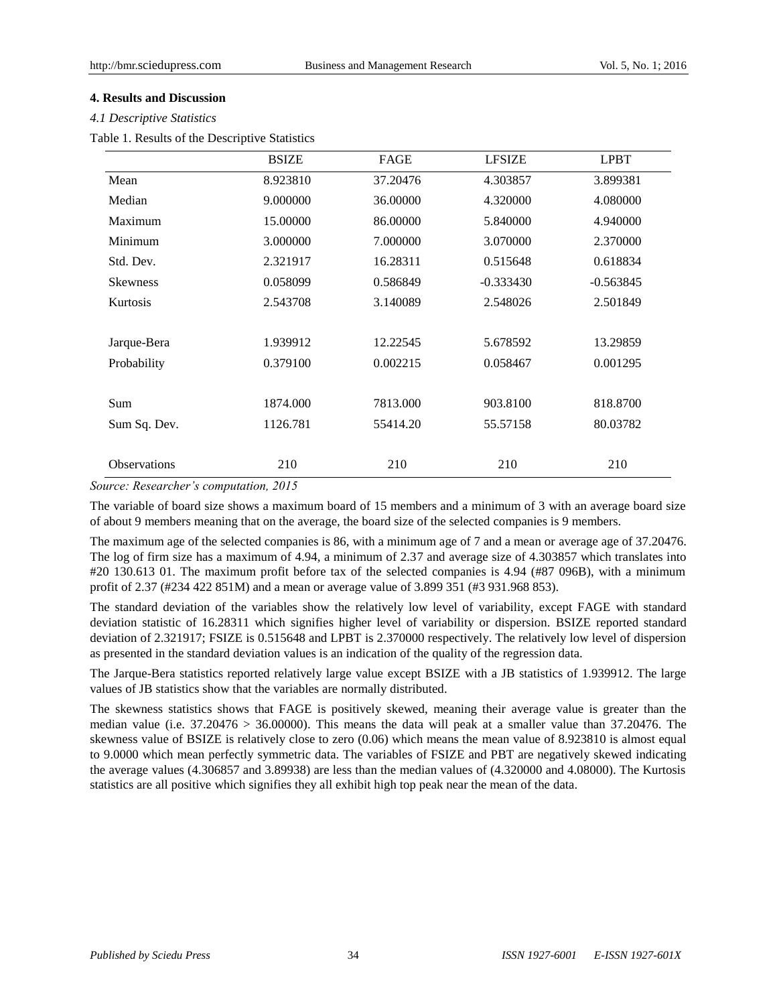## **4. Results and Discussion**

#### *4.1 Descriptive Statistics*

Table 1. Results of the Descriptive Statistics

|                     | <b>BSIZE</b> | FAGE     | <b>LFSIZE</b> | <b>LPBT</b> |
|---------------------|--------------|----------|---------------|-------------|
| Mean                | 8.923810     | 37.20476 | 4.303857      | 3.899381    |
| Median              | 9.000000     | 36,00000 | 4.320000      | 4.080000    |
| Maximum             | 15.00000     | 86,00000 | 5.840000      | 4.940000    |
| Minimum             | 3.000000     | 7.000000 | 3.070000      | 2.370000    |
| Std. Dev.           | 2.321917     | 16.28311 | 0.515648      | 0.618834    |
| <b>Skewness</b>     | 0.058099     | 0.586849 | $-0.333430$   | $-0.563845$ |
| Kurtosis            | 2.543708     | 3.140089 | 2.548026      | 2.501849    |
|                     |              |          |               |             |
| Jarque-Bera         | 1.939912     | 12.22545 | 5.678592      | 13.29859    |
| Probability         | 0.379100     | 0.002215 | 0.058467      | 0.001295    |
|                     |              |          |               |             |
| Sum                 | 1874.000     | 7813.000 | 903.8100      | 818.8700    |
| Sum Sq. Dev.        | 1126.781     | 55414.20 | 55.57158      | 80.03782    |
|                     |              |          |               |             |
| <b>Observations</b> | 210          | 210      | 210           | 210         |

#### *Source: Researcher's computation, 2015*

The variable of board size shows a maximum board of 15 members and a minimum of 3 with an average board size of about 9 members meaning that on the average, the board size of the selected companies is 9 members.

The maximum age of the selected companies is 86, with a minimum age of 7 and a mean or average age of 37.20476. The log of firm size has a maximum of 4.94, a minimum of 2.37 and average size of 4.303857 which translates into #20 130.613 01. The maximum profit before tax of the selected companies is 4.94 (#87 096B), with a minimum profit of 2.37 (#234 422 851M) and a mean or average value of 3.899 351 (#3 931.968 853).

The standard deviation of the variables show the relatively low level of variability, except FAGE with standard deviation statistic of 16.28311 which signifies higher level of variability or dispersion. BSIZE reported standard deviation of 2.321917; FSIZE is 0.515648 and LPBT is 2.370000 respectively. The relatively low level of dispersion as presented in the standard deviation values is an indication of the quality of the regression data.

The Jarque-Bera statistics reported relatively large value except BSIZE with a JB statistics of 1.939912. The large values of JB statistics show that the variables are normally distributed.

The skewness statistics shows that FAGE is positively skewed, meaning their average value is greater than the median value (i.e. 37.20476 > 36.00000). This means the data will peak at a smaller value than 37.20476. The skewness value of BSIZE is relatively close to zero (0.06) which means the mean value of 8.923810 is almost equal to 9.0000 which mean perfectly symmetric data. The variables of FSIZE and PBT are negatively skewed indicating the average values (4.306857 and 3.89938) are less than the median values of (4.320000 and 4.08000). The Kurtosis statistics are all positive which signifies they all exhibit high top peak near the mean of the data.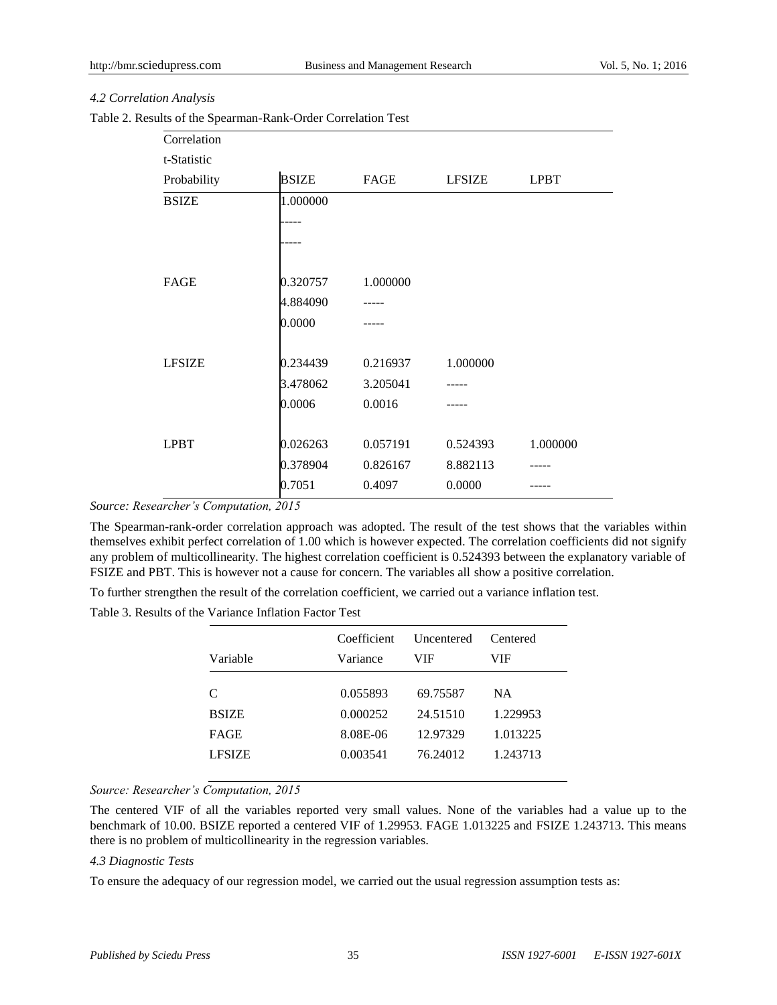## *4.2 Correlation Analysis*

|  |  |  | Table 2. Results of the Spearman-Rank-Order Correlation Test |  |  |  |
|--|--|--|--------------------------------------------------------------|--|--|--|
|--|--|--|--------------------------------------------------------------|--|--|--|

| Correlation   |              |          |               |             |
|---------------|--------------|----------|---------------|-------------|
| t-Statistic   |              |          |               |             |
| Probability   | <b>BSIZE</b> | FAGE     | <b>LFSIZE</b> | <b>LPBT</b> |
| <b>BSIZE</b>  | 1.000000     |          |               |             |
|               |              |          |               |             |
|               |              |          |               |             |
|               |              |          |               |             |
| FAGE          | 0.320757     | 1.000000 |               |             |
|               | 4.884090     |          |               |             |
|               | 0.0000       |          |               |             |
|               |              |          |               |             |
| <b>LFSIZE</b> | 0.234439     | 0.216937 | 1.000000      |             |
|               | 3.478062     | 3.205041 |               |             |
|               | 0.0006       | 0.0016   |               |             |
|               |              |          |               |             |
| <b>LPBT</b>   | 0.026263     | 0.057191 | 0.524393      | 1.000000    |
|               | 0.378904     | 0.826167 | 8.882113      |             |
|               | 0.7051       | 0.4097   | 0.0000        |             |

*Source: Researcher's Computation, 2015*

The Spearman-rank-order correlation approach was adopted. The result of the test shows that the variables within themselves exhibit perfect correlation of 1.00 which is however expected. The correlation coefficients did not signify any problem of multicollinearity. The highest correlation coefficient is 0.524393 between the explanatory variable of FSIZE and PBT. This is however not a cause for concern. The variables all show a positive correlation.

To further strengthen the result of the correlation coefficient, we carried out a variance inflation test.

Table 3. Results of the Variance Inflation Factor Test

| Variable      | Coefficient<br>Variance | Uncentered<br>VIF | Centered<br>VIF |
|---------------|-------------------------|-------------------|-----------------|
| C             | 0.055893                | 69.75587          | NA.             |
| <b>BSIZE</b>  | 0.000252                | 24.51510          | 1.229953        |
| <b>FAGE</b>   | 8.08E-06                | 12.97329          | 1.013225        |
| <b>LFSIZE</b> | 0.003541                | 76.24012          | 1.243713        |

*Source: Researcher's Computation, 2015*

The centered VIF of all the variables reported very small values. None of the variables had a value up to the benchmark of 10.00. BSIZE reported a centered VIF of 1.29953. FAGE 1.013225 and FSIZE 1.243713. This means there is no problem of multicollinearity in the regression variables.

#### *4.3 Diagnostic Tests*

To ensure the adequacy of our regression model, we carried out the usual regression assumption tests as: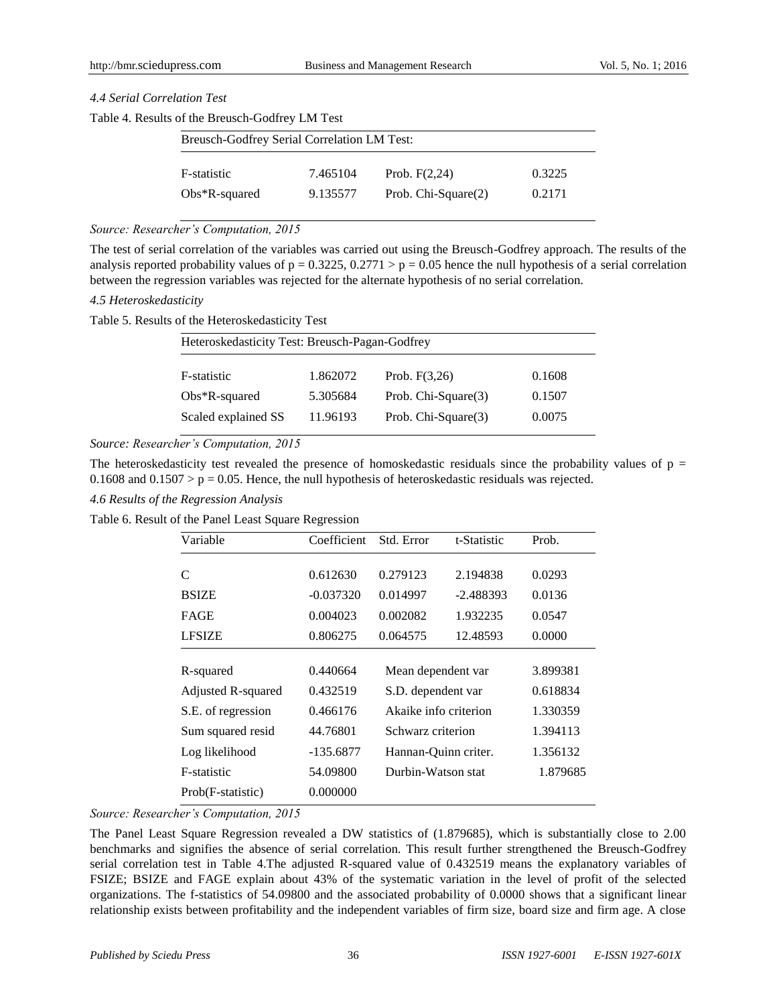## *4.4 Serial Correlation Test*

|  |  |  | Table 4. Results of the Breusch-Godfrey LM Test |  |
|--|--|--|-------------------------------------------------|--|
|--|--|--|-------------------------------------------------|--|

| Breusch-Godfrey Serial Correlation LM Test: |          |                        |        |  |
|---------------------------------------------|----------|------------------------|--------|--|
| F-statistic                                 | 7.465104 | Prob. $F(2,24)$        | 0.3225 |  |
| $Obs*R$ -squared                            | 9.135577 | Prob. Chi-Square $(2)$ | 0.2171 |  |

## *Source: Researcher's Computation, 2015*

The test of serial correlation of the variables was carried out using the Breusch-Godfrey approach. The results of the analysis reported probability values of  $p = 0.3225$ ,  $0.2771 > p = 0.05$  hence the null hypothesis of a serial correlation between the regression variables was rejected for the alternate hypothesis of no serial correlation.

#### *4.5 Heteroskedasticity*

#### Table 5. Results of the Heteroskedasticity Test

| Heteroskedasticity Test: Breusch-Pagan-Godfrey |          |                     |        |  |  |
|------------------------------------------------|----------|---------------------|--------|--|--|
| F-statistic                                    | 1.862072 | Prob. $F(3,26)$     | 0.1608 |  |  |
| $Obs*R$ -squared                               | 5.305684 | Prob. Chi-Square(3) | 0.1507 |  |  |
| Scaled explained SS                            | 11.96193 | Prob. Chi-Square(3) | 0.0075 |  |  |

*Source: Researcher's Computation, 2015*

The heteroskedasticity test revealed the presence of homoskedastic residuals since the probability values of  $p =$ 0.1608 and 0.1507  $> p = 0.05$ . Hence, the null hypothesis of heteroskedastic residuals was rejected.

#### *4.6 Results of the Regression Analysis*

Table 6. Result of the Panel Least Square Regression

| Variable                  | Coefficient | Std. Error            | t-Statistic | Prob.    |
|---------------------------|-------------|-----------------------|-------------|----------|
| C                         | 0.612630    | 0.279123              | 2.194838    | 0.0293   |
| <b>BSIZE</b>              | $-0.037320$ | 0.014997              | $-2.488393$ | 0.0136   |
| <b>FAGE</b>               | 0.004023    | 0.002082              | 1.932235    | 0.0547   |
| <b>LFSIZE</b>             | 0.806275    | 0.064575              | 12.48593    | 0.0000   |
| R-squared                 | 0.440664    | Mean dependent var    |             | 3.899381 |
| <b>Adjusted R-squared</b> | 0.432519    | S.D. dependent var    |             | 0.618834 |
| S.E. of regression        | 0.466176    | Akaike info criterion |             | 1.330359 |
| Sum squared resid         | 44.76801    | Schwarz criterion     |             | 1.394113 |
| Log likelihood            | $-135.6877$ | Hannan-Quinn criter.  |             | 1.356132 |
| F-statistic               | 54.09800    | Durbin-Watson stat    |             | 1.879685 |
| Prob(F-statistic)         | 0.000000    |                       |             |          |

*Source: Researcher's Computation, 2015*

The Panel Least Square Regression revealed a DW statistics of (1.879685), which is substantially close to 2.00 benchmarks and signifies the absence of serial correlation. This result further strengthened the Breusch-Godfrey serial correlation test in Table 4.The adjusted R-squared value of 0.432519 means the explanatory variables of FSIZE; BSIZE and FAGE explain about 43% of the systematic variation in the level of profit of the selected organizations. The f-statistics of 54.09800 and the associated probability of 0.0000 shows that a significant linear relationship exists between profitability and the independent variables of firm size, board size and firm age. A close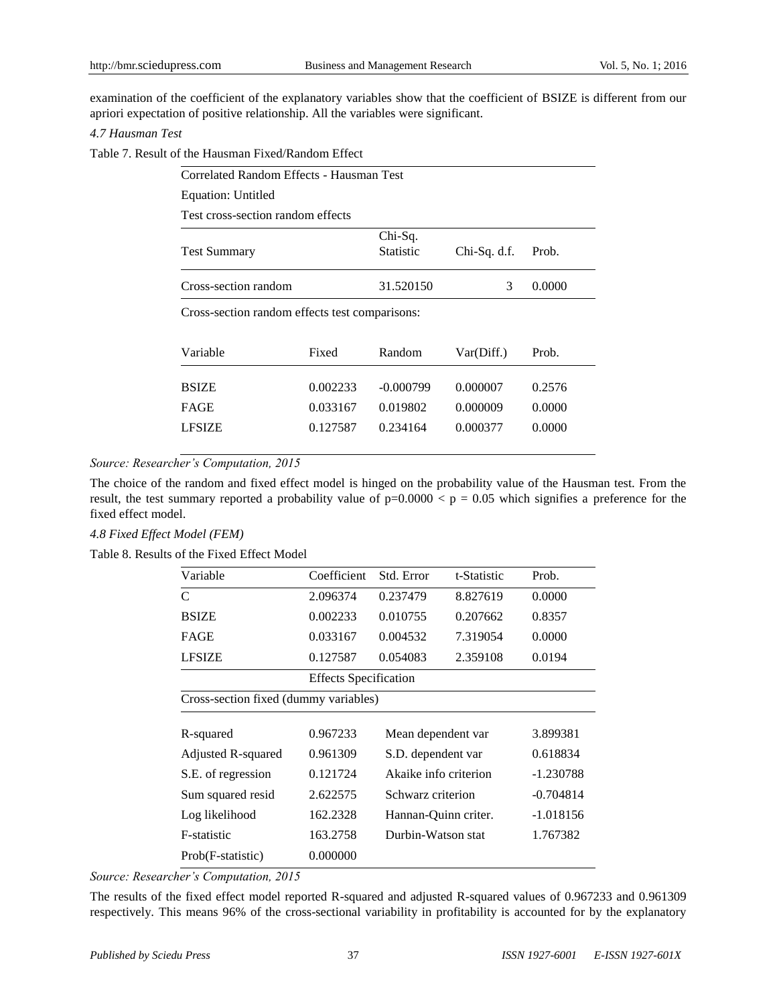examination of the coefficient of the explanatory variables show that the coefficient of BSIZE is different from our apriori expectation of positive relationship. All the variables were significant.

## *4.7 Hausman Test*

Table 7. Result of the Hausman Fixed/Random Effect

| Correlated Random Effects - Hausman Test                                      |          |             |            |        |  |  |  |
|-------------------------------------------------------------------------------|----------|-------------|------------|--------|--|--|--|
| Equation: Untitled                                                            |          |             |            |        |  |  |  |
| Test cross-section random effects                                             |          |             |            |        |  |  |  |
| Chi-Sq.<br><b>Statistic</b><br><b>Test Summary</b><br>$Chi-Sq. d.f.$<br>Prob. |          |             |            |        |  |  |  |
| Cross-section random                                                          |          | 31.520150   | 3          | 0.0000 |  |  |  |
| Cross-section random effects test comparisons:                                |          |             |            |        |  |  |  |
| Variable                                                                      | Fixed    | Random      | Var(Diff.) | Prob.  |  |  |  |
| <b>BSIZE</b>                                                                  | 0.002233 | $-0.000799$ | 0.000007   | 0.2576 |  |  |  |
| <b>FAGE</b>                                                                   | 0.033167 | 0.019802    | 0.000009   | 0.0000 |  |  |  |
| <b>LFSIZE</b>                                                                 | 0.127587 | 0.234164    | 0.000377   | 0.0000 |  |  |  |

## *Source: Researcher's Computation, 2015*

The choice of the random and fixed effect model is hinged on the probability value of the Hausman test. From the result, the test summary reported a probability value of  $p=0.0000 < p = 0.05$  which signifies a preference for the fixed effect model.

## *4.8 Fixed Effect Model (FEM)*

Table 8. Results of the Fixed Effect Model

| Variable                              | Coefficient                  | Std. Error         | t-Statistic           | Prob.    |  |
|---------------------------------------|------------------------------|--------------------|-----------------------|----------|--|
| C                                     | 2.096374                     | 0.237479           | 8.827619              | 0.0000   |  |
| <b>BSIZE</b>                          | 0.002233                     | 0.010755           | 0.207662              | 0.8357   |  |
| <b>FAGE</b>                           | 0.033167                     | 0.004532           | 7.319054              | 0.0000   |  |
| <b>LFSIZE</b>                         | 0.127587                     | 0.054083           | 2.359108              | 0.0194   |  |
|                                       | <b>Effects</b> Specification |                    |                       |          |  |
| Cross-section fixed (dummy variables) |                              |                    |                       |          |  |
|                                       |                              |                    |                       |          |  |
| R-squared                             | 0.967233                     | Mean dependent var |                       | 3.899381 |  |
| Adjusted R-squared                    | 0.961309                     | S.D. dependent var |                       | 0.618834 |  |
| S.E. of regression                    | 0.121724                     |                    | Akaike info criterion |          |  |
| Sum squared resid                     | 2.622575                     | Schwarz criterion  | $-0.704814$           |          |  |
| Log likelihood                        | 162.2328                     |                    | Hannan-Quinn criter.  |          |  |
| F-statistic                           | 163.2758                     | Durbin-Watson stat |                       | 1.767382 |  |
| Prob(F-statistic)                     | 0.000000                     |                    |                       |          |  |

*Source: Researcher's Computation, 2015*

The results of the fixed effect model reported R-squared and adjusted R-squared values of 0.967233 and 0.961309 respectively. This means 96% of the cross-sectional variability in profitability is accounted for by the explanatory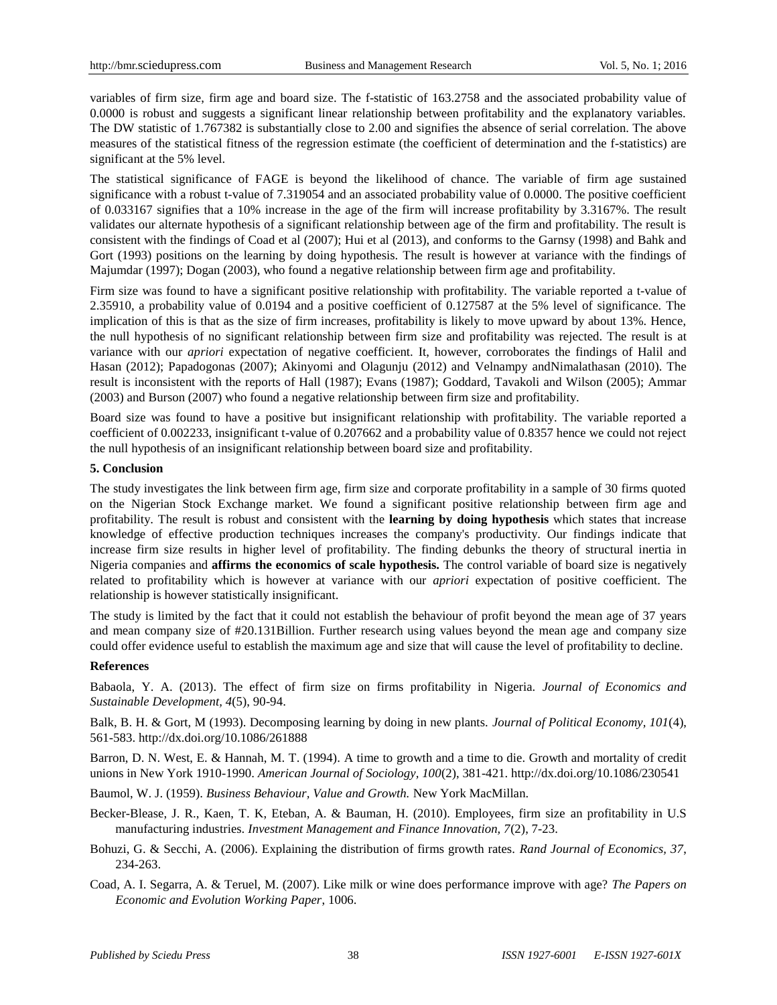variables of firm size, firm age and board size. The f-statistic of 163.2758 and the associated probability value of 0.0000 is robust and suggests a significant linear relationship between profitability and the explanatory variables. The DW statistic of 1.767382 is substantially close to 2.00 and signifies the absence of serial correlation. The above measures of the statistical fitness of the regression estimate (the coefficient of determination and the f-statistics) are significant at the 5% level.

The statistical significance of FAGE is beyond the likelihood of chance. The variable of firm age sustained significance with a robust t-value of 7.319054 and an associated probability value of 0.0000. The positive coefficient of 0.033167 signifies that a 10% increase in the age of the firm will increase profitability by 3.3167%. The result validates our alternate hypothesis of a significant relationship between age of the firm and profitability. The result is consistent with the findings of Coad et al (2007); Hui et al (2013), and conforms to the Garnsy (1998) and Bahk and Gort (1993) positions on the learning by doing hypothesis. The result is however at variance with the findings of Majumdar (1997); Dogan (2003), who found a negative relationship between firm age and profitability.

Firm size was found to have a significant positive relationship with profitability. The variable reported a t-value of 2.35910, a probability value of 0.0194 and a positive coefficient of 0.127587 at the 5% level of significance. The implication of this is that as the size of firm increases, profitability is likely to move upward by about 13%. Hence, the null hypothesis of no significant relationship between firm size and profitability was rejected. The result is at variance with our *apriori* expectation of negative coefficient. It, however, corroborates the findings of Halil and Hasan (2012); Papadogonas (2007); Akinyomi and Olagunju (2012) and Velnampy andNimalathasan (2010). The result is inconsistent with the reports of Hall (1987); Evans (1987); Goddard, Tavakoli and Wilson (2005); Ammar (2003) and Burson (2007) who found a negative relationship between firm size and profitability.

Board size was found to have a positive but insignificant relationship with profitability. The variable reported a coefficient of 0.002233, insignificant t-value of 0.207662 and a probability value of 0.8357 hence we could not reject the null hypothesis of an insignificant relationship between board size and profitability.

## **5. Conclusion**

The study investigates the link between firm age, firm size and corporate profitability in a sample of 30 firms quoted on the Nigerian Stock Exchange market. We found a significant positive relationship between firm age and profitability. The result is robust and consistent with the **learning by doing hypothesis** which states that increase knowledge of effective production techniques increases the company's productivity. Our findings indicate that increase firm size results in higher level of profitability. The finding debunks the theory of structural inertia in Nigeria companies and **affirms the economics of scale hypothesis.** The control variable of board size is negatively related to profitability which is however at variance with our *apriori* expectation of positive coefficient. The relationship is however statistically insignificant.

The study is limited by the fact that it could not establish the behaviour of profit beyond the mean age of 37 years and mean company size of #20.131Billion. Further research using values beyond the mean age and company size could offer evidence useful to establish the maximum age and size that will cause the level of profitability to decline.

#### **References**

Babaola, Y. A. (2013). The effect of firm size on firms profitability in Nigeria. *Journal of Economics and Sustainable Development, 4*(5), 90-94.

Balk, B. H. & Gort, M (1993). Decomposing learning by doing in new plants. *Journal of Political Economy, 101*(4), 561-583. <http://dx.doi.org/10.1086/261888>

Barron, D. N. West, E. & Hannah, M. T. (1994). A time to growth and a time to die. Growth and mortality of credit unions in New York 1910-1990. *American Journal of Sociology, 100*(2), 381-421. <http://dx.doi.org/10.1086/230541>

Baumol, W. J. (1959). *Business Behaviour, Value and Growth.* New York MacMillan.

Becker-Blease, J. R., Kaen, T. K, Eteban, A. & Bauman, H. (2010). Employees, firm size an profitability in U.S manufacturing industries. *Investment Management and Finance Innovation, 7*(2), 7-23.

Bohuzi, G. & Secchi, A. (2006). Explaining the distribution of firms growth rates. *Rand Journal of Economics, 37*, 234-263.

Coad, A. I. Segarra, A. & Teruel, M. (2007). Like milk or wine does performance improve with age? *The Papers on Economic and Evolution Working Paper*, 1006.